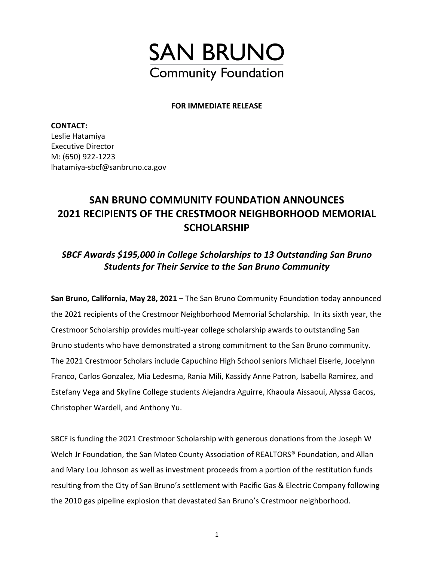

#### **FOR IMMEDIATE RELEASE**

**CONTACT:**  Leslie Hatamiya Executive Director M: (650) 922-1223 lhatamiya-sbcf@sanbruno.ca.gov

# **SAN BRUNO COMMUNITY FOUNDATION ANNOUNCES 2021 RECIPIENTS OF THE CRESTMOOR NEIGHBORHOOD MEMORIAL SCHOLARSHIP**

### *SBCF Awards \$195,000 in College Scholarships to 13 Outstanding San Bruno Students for Their Service to the San Bruno Community*

**San Bruno, California, May 28, 2021 –** The San Bruno Community Foundation today announced the 2021 recipients of the Crestmoor Neighborhood Memorial Scholarship. In its sixth year, the Crestmoor Scholarship provides multi-year college scholarship awards to outstanding San Bruno students who have demonstrated a strong commitment to the San Bruno community. The 2021 Crestmoor Scholars include Capuchino High School seniors Michael Eiserle, Jocelynn Franco, Carlos Gonzalez, Mia Ledesma, Rania Mili, Kassidy Anne Patron, Isabella Ramirez, and Estefany Vega and Skyline College students Alejandra Aguirre, Khaoula Aissaoui, Alyssa Gacos, Christopher Wardell, and Anthony Yu.

SBCF is funding the 2021 Crestmoor Scholarship with generous donations from the Joseph W Welch Jr Foundation, the San Mateo County Association of REALTORS® Foundation, and Allan and Mary Lou Johnson as well as investment proceeds from a portion of the restitution funds resulting from the City of San Bruno's settlement with Pacific Gas & Electric Company following the 2010 gas pipeline explosion that devastated San Bruno's Crestmoor neighborhood.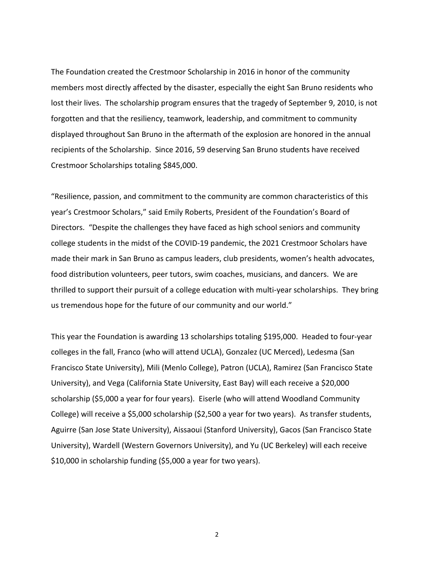The Foundation created the Crestmoor Scholarship in 2016 in honor of the community members most directly affected by the disaster, especially the eight San Bruno residents who lost their lives. The scholarship program ensures that the tragedy of September 9, 2010, is not forgotten and that the resiliency, teamwork, leadership, and commitment to community displayed throughout San Bruno in the aftermath of the explosion are honored in the annual recipients of the Scholarship. Since 2016, 59 deserving San Bruno students have received Crestmoor Scholarships totaling \$845,000.

"Resilience, passion, and commitment to the community are common characteristics of this year's Crestmoor Scholars," said Emily Roberts, President of the Foundation's Board of Directors. "Despite the challenges they have faced as high school seniors and community college students in the midst of the COVID-19 pandemic, the 2021 Crestmoor Scholars have made their mark in San Bruno as campus leaders, club presidents, women's health advocates, food distribution volunteers, peer tutors, swim coaches, musicians, and dancers. We are thrilled to support their pursuit of a college education with multi-year scholarships. They bring us tremendous hope for the future of our community and our world."

This year the Foundation is awarding 13 scholarships totaling \$195,000. Headed to four-year colleges in the fall, Franco (who will attend UCLA), Gonzalez (UC Merced), Ledesma (San Francisco State University), Mili (Menlo College), Patron (UCLA), Ramirez (San Francisco State University), and Vega (California State University, East Bay) will each receive a \$20,000 scholarship (\$5,000 a year for four years). Eiserle (who will attend Woodland Community College) will receive a \$5,000 scholarship (\$2,500 a year for two years). As transfer students, Aguirre (San Jose State University), Aissaoui (Stanford University), Gacos (San Francisco State University), Wardell (Western Governors University), and Yu (UC Berkeley) will each receive \$10,000 in scholarship funding (\$5,000 a year for two years).

2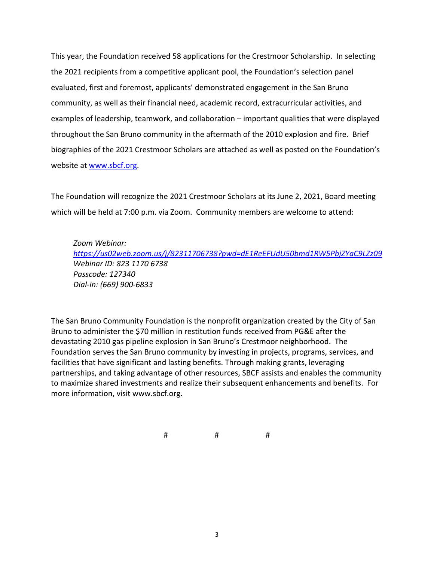This year, the Foundation received 58 applications for the Crestmoor Scholarship. In selecting the 2021 recipients from a competitive applicant pool, the Foundation's selection panel evaluated, first and foremost, applicants' demonstrated engagement in the San Bruno community, as well as their financial need, academic record, extracurricular activities, and examples of leadership, teamwork, and collaboration – important qualities that were displayed throughout the San Bruno community in the aftermath of the 2010 explosion and fire. Brief biographies of the 2021 Crestmoor Scholars are attached as well as posted on the Foundation's website at [www.sbcf.org.](about:blank)

The Foundation will recognize the 2021 Crestmoor Scholars at its June 2, 2021, Board meeting which will be held at 7:00 p.m. via Zoom. Community members are welcome to attend:

*Zoom Webinar: [https://us02web.zoom.us/j/82311706738?pwd=dE1ReEFUdU50bmd1RW5PbjZYaC9LZz09](about:blank) Webinar ID: 823 1170 6738 Passcode: 127340 Dial-in: (669) 900-6833*

The San Bruno Community Foundation is the nonprofit organization created by the City of San Bruno to administer the \$70 million in restitution funds received from PG&E after the devastating 2010 gas pipeline explosion in San Bruno's Crestmoor neighborhood. The Foundation serves the San Bruno community by investing in projects, programs, services, and facilities that have significant and lasting benefits. Through making grants, leveraging partnerships, and taking advantage of other resources, SBCF assists and enables the community to maximize shared investments and realize their subsequent enhancements and benefits. For more information, visit www.sbcf.org.

# # #